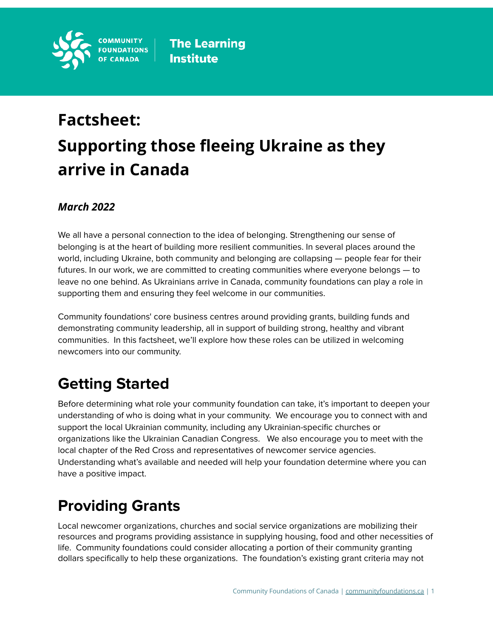

# **Factsheet: Supporting those fleeing Ukraine as they arrive in Canada**

### *March 2022*

We all have a personal connection to the idea of belonging. Strengthening our sense of belonging is at the heart of building more resilient communities. In several places around the world, including Ukraine, both community and belonging are collapsing — people fear for their futures. In our work, we are committed to creating communities where everyone belongs — to leave no one behind. As Ukrainians arrive in Canada, community foundations can play a role in supporting them and ensuring they feel welcome in our communities.

Community foundations' core business centres around providing grants, building funds and demonstrating community leadership, all in support of building strong, healthy and vibrant communities. In this factsheet, we'll explore how these roles can be utilized in welcoming newcomers into our community.

# **Getting Started**

Before determining what role your community foundation can take, it's important to deepen your understanding of who is doing what in your community. We encourage you to connect with and support the local Ukrainian community, including any Ukrainian-specific churches or organizations like the Ukrainian Canadian Congress. We also encourage you to meet with the local chapter of the Red Cross and representatives of newcomer service agencies. Understanding what's available and needed will help your foundation determine where you can have a positive impact.

# **Providing Grants**

Local newcomer organizations, churches and social service organizations are mobilizing their resources and programs providing assistance in supplying housing, food and other necessities of life. Community foundations could consider allocating a portion of their community granting dollars specifically to help these organizations. The foundation's existing grant criteria may not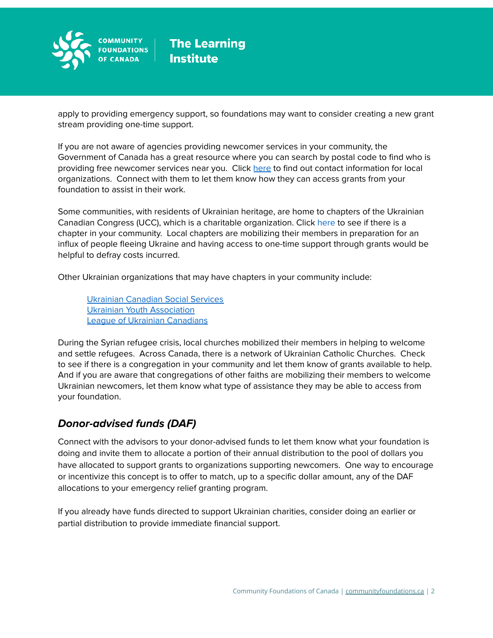

apply to providing emergency support, so foundations may want to consider creating a new grant stream providing one-time support.

If you are not aware of agencies providing newcomer services in your community, the Government of Canada has a great resource where you can search by postal code to find who is providing free newcomer services near you. Click [here](https://ircc.canada.ca/english/newcomers/services/index.asp) to find out contact information for local organizations. Connect with them to let them know how they can access grants from your foundation to assist in their work.

Some communities, with residents of Ukrainian heritage, are home to chapters of the Ukrainian Canadian Congress (UCC), which is a charitable organization. Click [here](https://www.ucc.ca/ucc-near-you/) to see if there is a chapter in your community. Local chapters are mobilizing their members in preparation for an influx of people fleeing Ukraine and having access to one-time support through grants would be helpful to defray costs incurred.

Other Ukrainian organizations that may have chapters in your community include:

Ukrainian [Canadian](https://www.ucss.info/) Social Services Ukrainian Youth [Association](https://cym.org/en/ca/) League of Ukrainian [Canadians](https://www.lucorg.com/about-luc_173.htmnewa.org)

During the Syrian refugee crisis, local churches mobilized their members in helping to welcome and settle refugees. Across Canada, there is a network of Ukrainian Catholic Churches. Check to see if there is a congregation in your community and let them know of grants available to help. And if you are aware that congregations of other faiths are mobilizing their members to welcome Ukrainian newcomers, let them know what type of assistance they may be able to access from your foundation.

### **Donor-advised funds (DAF)**

Connect with the advisors to your donor-advised funds to let them know what your foundation is doing and invite them to allocate a portion of their annual distribution to the pool of dollars you have allocated to support grants to organizations supporting newcomers. One way to encourage or incentivize this concept is to offer to match, up to a specific dollar amount, any of the DAF allocations to your emergency relief granting program.

If you already have funds directed to support Ukrainian charities, consider doing an earlier or partial distribution to provide immediate financial support.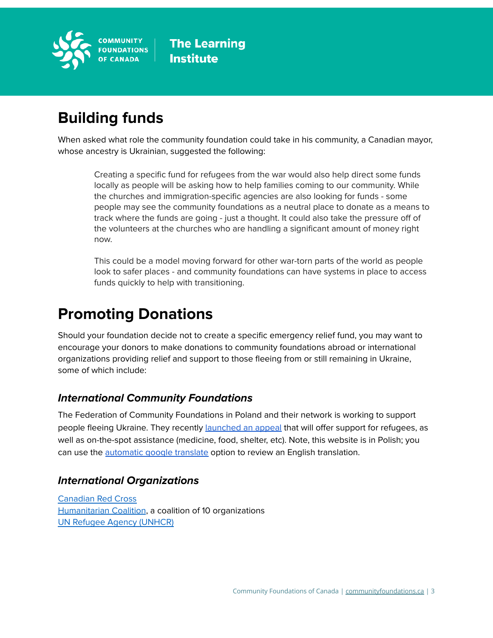

# **Building funds**

When asked what role the community foundation could take in his community, a Canadian mayor, whose ancestry is Ukrainian, suggested the following:

Creating a specific fund for refugees from the war would also help direct some funds locally as people will be asking how to help families coming to our community. While the churches and immigration-specific agencies are also looking for funds - some people may see the community foundations as a neutral place to donate as a means to track where the funds are going - just a thought. It could also take the pressure off of the volunteers at the churches who are handling a significant amount of money right now.

This could be a model moving forward for other war-torn parts of the world as people look to safer places - and community foundations can have systems in place to access funds quickly to help with transitioning.

### **Promoting Donations**

Should your foundation decide not to create a specific emergency relief fund, you may want to encourage your donors to make donations to community foundations abroad or international organizations providing relief and support to those fleeing from or still remaining in Ukraine, some of which include:

### **International Community Foundations**

The Federation of Community Foundations in Poland and their network is working to support people fleeing Ukraine. They recently [launched](https://zrzutka.pl/m3pyf6) an appeal that will offer support for refugees, as well as on-the-spot assistance (medicine, food, shelter, etc). Note, this website is in Polish; you can use the [automatic](https://support.google.com/chrome/answer/173424?hl=en&co=GENIE.Platform%3DDesktop) google translate option to review an English translation.

#### **International Organizations**

[Canadian](https://donate.redcross.ca/page/100227/donate/1?utm_source=google&utm_medium=cpc&utm_campaign=%28EN%29+Emergencies+-+Ukraine+Humanitarian+Crisis+Appeal&gclid=CjwKCAiAprGRBhBgEiwANJEY7FFnb1ZohOh2_f4xYk-NH7EQFwZyTC43LMyEJm4dJGJFfdo36gA6EBoCER4QAvD_BwE) Red Cross [Humanitarian](https://www.humanitariancoalition.ca/ukraine-crisis?gclid=CjwKCAiAprGRBhBgEiwANJEY7P_2CNhdGqlacALTDxnqzN8EqRsiPvx7vC8_utsTf9e3PYXuSesXORoCgJwQAvD_BwE) Coalition, a coalition of 10 organizations UN Refugee Agency [\(UNHCR\)](https://give.unhcr.ca/page/100190/donate/1?ea.tracking.id=SEM22_EUR&utm_source=google&utm_medium=cpc&utm_campaign=CA_PS_EN_UA&gclid=CjwKCAiAprGRBhBgEiwANJEY7CJCPFsH4xibUyBcJqjIQAG7S9egLcGD6HYV3BJdDZ8xMk5oBrSX8BoCdDkQAvD_BwE&gclsrc=aw.ds)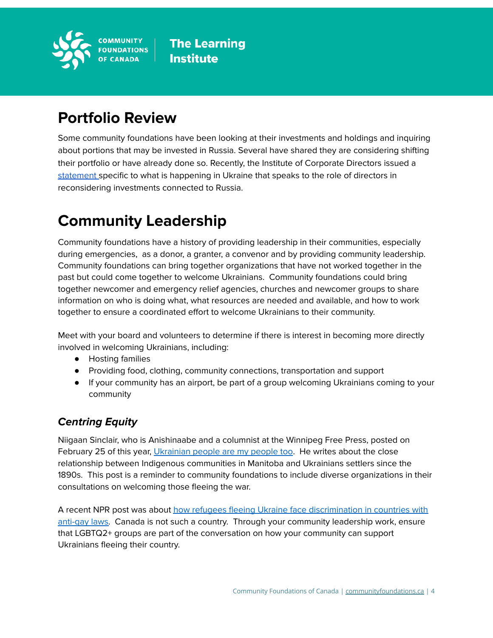

## **Portfolio Review**

Some community foundations have been looking at their investments and holdings and inquiring about portions that may be invested in Russia. Several have shared they are considering shifting their portfolio or have already done so. Recently, the Institute of Corporate Directors issued a [statement](https://icd.ca/Media-Centre/News-Releases/2022/The-Institute-of-Corporate-Directors-ICD-Responds) specific to what is happening in Ukraine that speaks to the role of directors in reconsidering investments connected to Russia.

# **Community Leadership**

Community foundations have a history of providing leadership in their communities, especially during emergencies, as a donor, a granter, a convenor and by providing community leadership. Community foundations can bring together organizations that have not worked together in the past but could come together to welcome Ukrainians. Community foundations could bring together newcomer and emergency relief agencies, churches and newcomer groups to share information on who is doing what, what resources are needed and available, and how to work together to ensure a coordinated effort to welcome Ukrainians to their community.

Meet with your board and volunteers to determine if there is interest in becoming more directly involved in welcoming Ukrainians, including:

- Hosting families
- Providing food, clothing, community connections, transportation and support
- If your community has an airport, be part of a group welcoming Ukrainians coming to your community

### **Centring Equity**

Niigaan Sinclair, who is Anishinaabe and a columnist at the Winnipeg Free Press, posted on February 25 of this year, *[Ukrainian](https://secureservercdn.net/104.238.68.130/w4c.34e.myftpupload.com/wp-content/uploads/2022/03/2022-03-02-Ukrainian-people-are-my-people-too-Winnipeg-Free-Press.pdf) people are my people too*. He writes about the close relationship between Indigenous communities in Manitoba and Ukrainians settlers since the 1890s. This post is a reminder to community foundations to include diverse organizations in their consultations on welcoming those fleeing the war.

A recent NPR post was about how refugees fleeing Ukraine face [discrimination](https://www.npr.org/2022/03/04/1084321690/lgbtq-refugees-fleeing-ukraine-face-discrimination-in-countries-with-anti-gay-la) in countries with [anti-gay](https://www.npr.org/2022/03/04/1084321690/lgbtq-refugees-fleeing-ukraine-face-discrimination-in-countries-with-anti-gay-la) laws. Canada is not such a country. Through your community leadership work, ensure that LGBTQ2+ groups are part of the conversation on how your community can support Ukrainians fleeing their country.